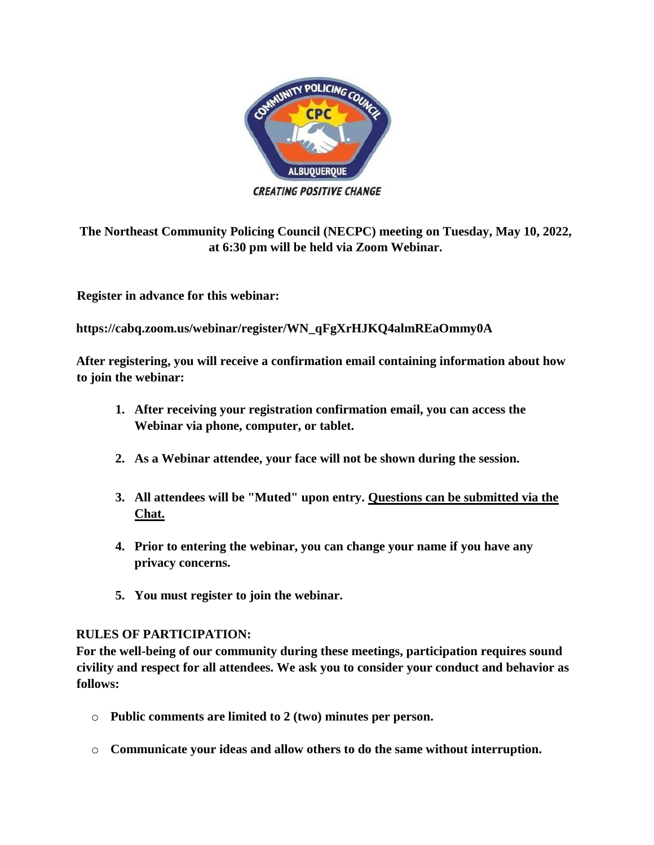

**CREATING POSITIVE CHANGE** 

**The Northeast Community Policing Council (NECPC) meeting on Tuesday, May 10, 2022, at 6:30 pm will be held via Zoom Webinar.** 

**Register in advance for this webinar:**

**https://cabq.zoom.us/webinar/register/WN\_qFgXrHJKQ4almREaOmmy0A** 

**After registering, you will receive a confirmation email containing information about how to join the webinar:** 

- **1. After receiving your registration confirmation email, you can access the Webinar via phone, computer, or tablet.**
- **2. As a Webinar attendee, your face will not be shown during the session.**
- **3. All attendees will be "Muted" upon entry. Questions can be submitted via the Chat.**
- **4. Prior to entering the webinar, you can change your name if you have any privacy concerns.**
- **5. You must register to join the webinar.**

## **RULES OF PARTICIPATION:**

**For the well-being of our community during these meetings, participation requires sound civility and respect for all attendees. We ask you to consider your conduct and behavior as follows:** 

- o **Public comments are limited to 2 (two) minutes per person.**
- o **Communicate your ideas and allow others to do the same without interruption.**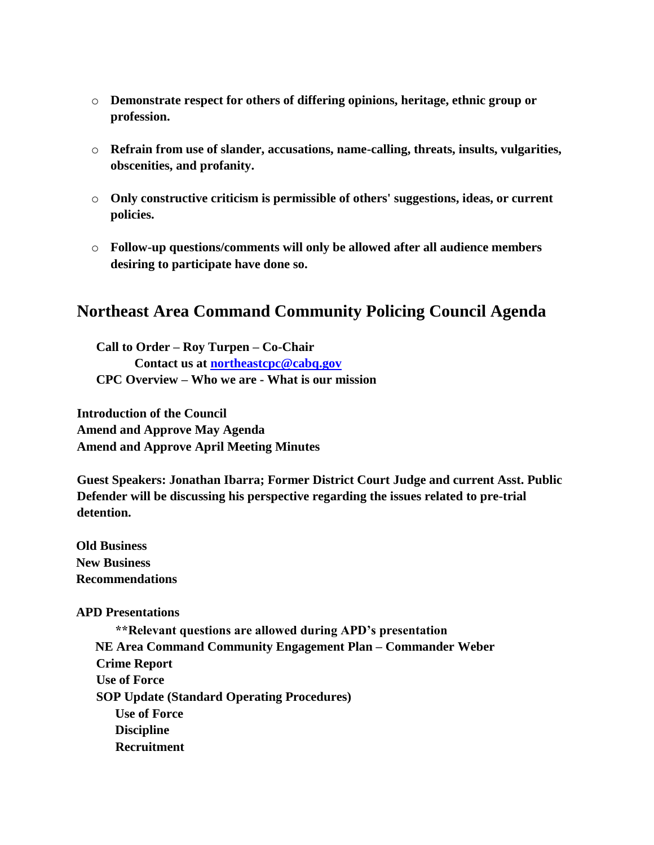- o **Demonstrate respect for others of differing opinions, heritage, ethnic group or profession.**
- o **Refrain from use of slander, accusations, name-calling, threats, insults, vulgarities, obscenities, and profanity.**
- o **Only constructive criticism is permissible of others' suggestions, ideas, or current policies.**
- o **Follow-up questions/comments will only be allowed after all audience members desiring to participate have done so.**

## **Northeast Area Command Community Policing Council Agenda**

**Call to Order – Roy Turpen – Co-Chair Contact us at northeastcpc@cabq.gov CPC Overview – Who we are - What is our mission** 

**Introduction of the Council Amend and Approve May Agenda Amend and Approve April Meeting Minutes** 

**Guest Speakers: Jonathan Ibarra; Former District Court Judge and current Asst. Public Defender will be discussing his perspective regarding the issues related to pre-trial detention.**

**Old Business New Business Recommendations** 

## **APD Presentations**

**\*\*Relevant questions are allowed during APD's presentation NE Area Command Community Engagement Plan – Commander Weber Crime Report Use of Force SOP Update (Standard Operating Procedures) Use of Force Discipline Recruitment**